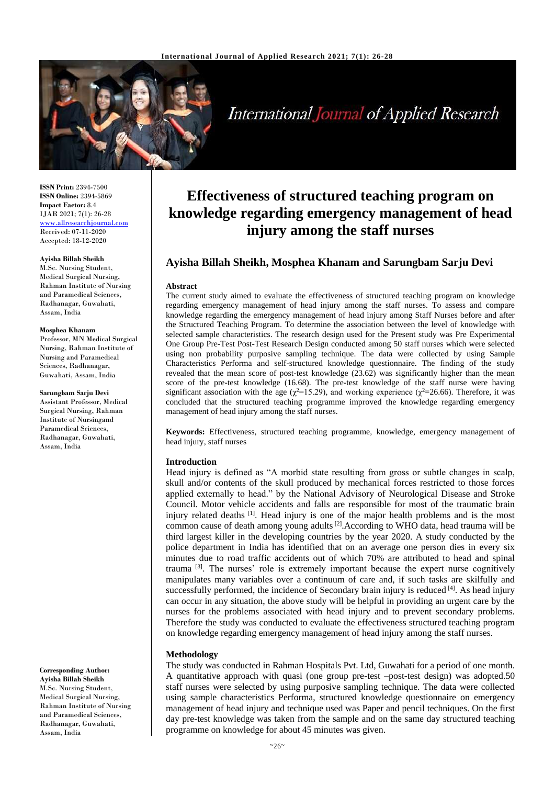

International Journal of Applied Research

**ISSN Print:** 2394-7500 **ISSN Online:** 2394-5869 **Impact Factor:** 8.4 IJAR 2021; 7(1): 26-28 <www.allresearchjournal.com> Received: 07-11-2020 Accepted: 18-12-2020

# **Ayisha Billah Sheikh**

M.Sc. Nursing Student, Medical Surgical Nursing, Rahman Institute of Nursing and Paramedical Sciences, Radhanagar, Guwahati, Assam, India

#### **Mosphea Khanam**

Professor, MN Medical Surgical Nursing, Rahman Institute of Nursing and Paramedical Sciences, Radhanagar, Guwahati, Assam, India

**Sarungbam Sarju Devi** Assistant Professor, Medical Surgical Nursing, Rahman Institute of Nursingand Paramedical Sciences, Radhanagar, Guwahati, Assam, India

**Corresponding Author: Ayisha Billah Sheikh** M.Sc. Nursing Student, Medical Surgical Nursing, Rahman Institute of Nursing and Paramedical Sciences, Radhanagar, Guwahati, Assam, India

# **Effectiveness of structured teaching program on knowledge regarding emergency management of head injury among the staff nurses**

# **Ayisha Billah Sheikh, Mosphea Khanam and Sarungbam Sarju Devi**

#### **Abstract**

The current study aimed to evaluate the effectiveness of structured teaching program on knowledge regarding emergency management of head injury among the staff nurses. To assess and compare knowledge regarding the emergency management of head injury among Staff Nurses before and after the Structured Teaching Program. To determine the association between the level of knowledge with selected sample characteristics. The research design used for the Present study was Pre Experimental One Group Pre-Test Post-Test Research Design conducted among 50 staff nurses which were selected using non probability purposive sampling technique. The data were collected by using Sample Characteristics Performa and self-structured knowledge questionnaire. The finding of the study revealed that the mean score of post-test knowledge (23.62) was significantly higher than the mean score of the pre-test knowledge (16.68). The pre-test knowledge of the staff nurse were having significant association with the age ( $\chi^2$ =15.29), and working experience ( $\chi^2$ =26.66). Therefore, it was concluded that the structured teaching programme improved the knowledge regarding emergency management of head injury among the staff nurses.

**Keywords:** Effectiveness, structured teaching programme, knowledge, emergency management of head injury, staff nurses

#### **Introduction**

Head injury is defined as "A morbid state resulting from gross or subtle changes in scalp, skull and/or contents of the skull produced by mechanical forces restricted to those forces applied externally to head." by the National Advisory of Neurological Disease and Stroke Council. Motor vehicle accidents and falls are responsible for most of the traumatic brain injury related deaths  $\left[1\right]$ . Head injury is one of the major health problems and is the most common cause of death among young adults<sup>[2]</sup>. According to WHO data, head trauma will be third largest killer in the developing countries by the year 2020. A study conducted by the police department in India has identified that on an average one person dies in every six minutes due to road traffic accidents out of which 70% are attributed to head and spinal trauma<sup>[3]</sup>. The nurses' role is extremely important because the expert nurse cognitively manipulates many variables over a continuum of care and, if such tasks are skilfully and successfully performed, the incidence of Secondary brain injury is reduced [4]. As head injury can occur in any situation, the above study will be helpful in providing an urgent care by the nurses for the problems associated with head injury and to prevent secondary problems. Therefore the study was conducted to evaluate the effectiveness structured teaching program on knowledge regarding emergency management of head injury among the staff nurses.

#### **Methodology**

The study was conducted in Rahman Hospitals Pvt. Ltd, Guwahati for a period of one month. A quantitative approach with quasi (one group pre-test –post-test design) was adopted.50 staff nurses were selected by using purposive sampling technique. The data were collected using sample characteristics Performa, structured knowledge questionnaire on emergency management of head injury and technique used was Paper and pencil techniques. On the first day pre-test knowledge was taken from the sample and on the same day structured teaching programme on knowledge for about 45 minutes was given.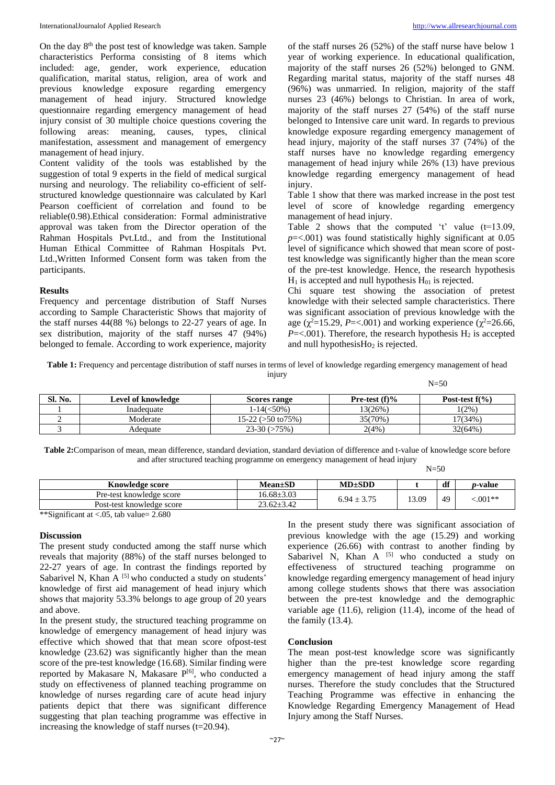On the day 8th the post test of knowledge was taken. Sample characteristics Performa consisting of 8 items which included: age, gender, work experience, education qualification, marital status, religion, area of work and previous knowledge exposure regarding emergency management of head injury. Structured knowledge questionnaire regarding emergency management of head injury consist of 30 multiple choice questions covering the following areas: meaning, causes, types, clinical manifestation, assessment and management of emergency management of head injury.

Content validity of the tools was established by the suggestion of total 9 experts in the field of medical surgical nursing and neurology. The reliability co-efficient of selfstructured knowledge questionnaire was calculated by Karl Pearson coefficient of correlation and found to be reliable(0.98).Ethical consideration: Formal administrative approval was taken from the Director operation of the Rahman Hospitals Pvt.Ltd., and from the Institutional Human Ethical Committee of Rahman Hospitals Pvt. Ltd.,Written Informed Consent form was taken from the participants.

#### **Results**

Frequency and percentage distribution of Staff Nurses according to Sample Characteristic Shows that majority of the staff nurses 44(88 %) belongs to 22-27 years of age. In sex distribution, majority of the staff nurses 47 (94%) belonged to female. According to work experience, majority of the staff nurses 26 (52%) of the staff nurse have below 1 year of working experience. In educational qualification, majority of the staff nurses 26 (52%) belonged to GNM. Regarding marital status, majority of the staff nurses 48 (96%) was unmarried. In religion, majority of the staff nurses 23 (46%) belongs to Christian. In area of work, majority of the staff nurses 27 (54%) of the staff nurse belonged to Intensive care unit ward. In regards to previous knowledge exposure regarding emergency management of head injury, majority of the staff nurses 37 (74%) of the staff nurses have no knowledge regarding emergency management of head injury while 26% (13) have previous knowledge regarding emergency management of head injury.

Table 1 show that there was marked increase in the post test level of score of knowledge regarding emergency management of head injury.

Table 2 shows that the computed 't' value (t=13.09, *p*=<.001) was found statistically highly significant at 0.05 level of significance which showed that mean score of posttest knowledge was significantly higher than the mean score of the pre-test knowledge. Hence, the research hypothesis  $H_1$  is accepted and null hypothesis  $H_{01}$  is rejected.

Chi square test showing the association of pretest knowledge with their selected sample characteristics. There was significant association of previous knowledge with the age ( $\chi^2$ =15.29, *P*=<.001) and working experience ( $\chi^2$ =26.66,  $P = <.001$ ). Therefore, the research hypothesis H<sub>2</sub> is accepted and null hypothesis $Ho<sub>2</sub>$  is rejected.

**Table 1:** Frequency and percentage distribution of staff nurses in terms of level of knowledge regarding emergency management of head injury

| $N = 50$ |
|----------|
|----------|

| Sl. No. | Level of knowledge | Scores range                | <b>Pre-test</b> (f)% | Post-test $f(\%)$ |
|---------|--------------------|-----------------------------|----------------------|-------------------|
|         | Inadequate         | 1-14(<50%)                  | 3(26%)               | $1(2\%)$          |
|         | Moderate           | $15-22$ ( $>50$ to $75\%$ ) | 35(70%)              | $17(34\%)$        |
|         | Adequate           | $23-30(>75%)$               | 2(4%)                | 32(64%)           |

**Table 2:**Comparison of mean, mean difference, standard deviation, standard deviation of difference and t-value of knowledge score before and after structured teaching programme on emergency management of head injury

|                                                                                                       |                  |                 | $N = 50$ |    |                 |  |
|-------------------------------------------------------------------------------------------------------|------------------|-----------------|----------|----|-----------------|--|
| <b>Knowledge score</b>                                                                                | $Mean \pm SD$    | $MD \pm SDD$    |          | df | <i>p</i> -value |  |
| Pre-test knowledge score                                                                              | $16.68 \pm 3.03$ | $6.94 \pm 3.75$ | '3.09    | 49 | ${<}.001**$     |  |
| Post-test knowledge score                                                                             | $23.62 \pm 3.42$ |                 |          |    |                 |  |
| $\cdot$ $\sim$<br>1.1.001<br>$\sim$ $\sim$ $\sim$<br>$\sim$ $\sim$ $\sim$ $\sim$ $\sim$ $\sim$ $\sim$ |                  |                 |          |    |                 |  |

\*\*Significant at <.05, tab value= 2.680

# **Discussion**

The present study conducted among the staff nurse which reveals that majority (88%) of the staff nurses belonged to 22-27 years of age. In contrast the findings reported by Sabarivel N, Khan  $A$  [5] who conducted a study on students' knowledge of first aid management of head injury which shows that majority 53.3% belongs to age group of 20 years and above.

In the present study, the structured teaching programme on knowledge of emergency management of head injury was effective which showed that that mean score ofpost-test knowledge (23.62) was significantly higher than the mean score of the pre-test knowledge (16.68). Similar finding were reported by Makasare N, Makasare P[6], who conducted a study on effectiveness of planned teaching programme on knowledge of nurses regarding care of acute head injury patients depict that there was significant difference suggesting that plan teaching programme was effective in increasing the knowledge of staff nurses (t=20.94).

In the present study there was significant association of previous knowledge with the age (15.29) and working experience (26.66) with contrast to another finding by Sabarivel N, Khan A  $^{[5]}$  who conducted a study on effectiveness of structured teaching programme on knowledge regarding emergency management of head injury among college students shows that there was association between the pre-test knowledge and the demographic variable age (11.6), religion (11.4), income of the head of the family (13.4).

#### **Conclusion**

The mean post-test knowledge score was significantly higher than the pre-test knowledge score regarding emergency management of head injury among the staff nurses. Therefore the study concludes that the Structured Teaching Programme was effective in enhancing the Knowledge Regarding Emergency Management of Head Injury among the Staff Nurses.